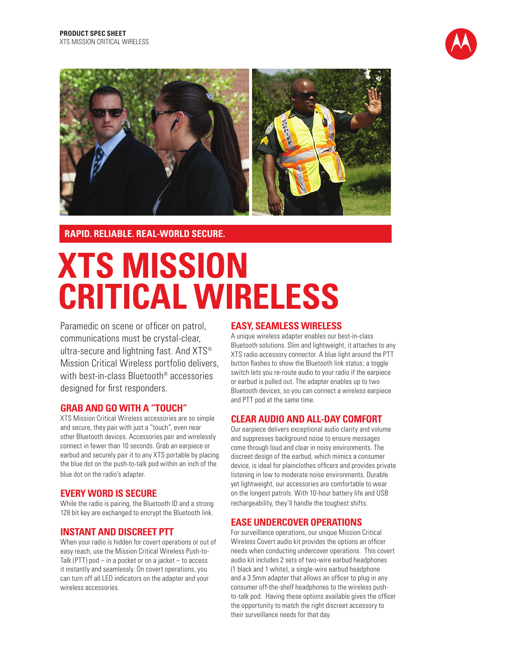



# **RAPID. RELIABLE. REAL-WORLD SECURE.**

# **XTS MISSION CRITICAL WIRELESS**

Paramedic on scene or officer on patrol, communications must be crystal-clear, ultra-secure and lightning fast. And XTS<sup>®</sup> Mission Critical Wireless portfolio delivers, with best-in-class Bluetooth® accessories designed for first responders.

## **GRAB AND GO WITH A "TOUCH"**

XTS Mission Critical Wireless accessories are so simple and secure, they pair with just a "touch", even near other Bluetooth devices. Accessories pair and wirelessly connect in fewer than 10 seconds. Grab an earpiece or earbud and securely pair it to any XTS portable by placing the blue dot on the push-to-talk pod within an inch of the blue dot on the radio's adapter.

# **EVERY WORD IS SECURE**

While the radio is pairing, the Bluetooth ID and a strong 128 bit key are exchanged to encrypt the Bluetooth link.

# **INSTANT AND DISCREET PTT**

When your radio is hidden for covert operations or out of easy reach, use the Mission Critical Wireless Push-to-Talk (PTT) pod  $-$  in a pocket or on a jacket  $-$  to access it instantly and seamlessly. On covert operations, you can turn off all LED indicators on the adapter and your wireless accessories.

# **EASY, SEAMLESS WIRELESS**

A unique wireless adapter enables our best-in-class Bluetooth solutions. Slim and lightweight, it attaches to any XTS radio accessory connector. A blue light around the PTT button flashes to show the Bluetooth link status; a toggle switch lets you re-route audio to your radio if the earpiece or earbud is pulled out. The adapter enables up to two Bluetooth devices, so you can connect a wireless earpiece and PTT pod at the same time.

## **CLEAR AUDIO AND ALL-DAY COMFORT**

Our earpiece delivers exceptional audio clarity and volume and suppresses background noise to ensure messages come through loud and clear in noisy environments. The discreet design of the earbud, which mimics a consumer device, is ideal for plainclothes officers and provides private listening in low to moderate noise environments. Durable yet lightweight, our accessories are comfortable to wear on the longest patrols. With 10-hour battery life and USB rechargeability, they'll handle the toughest shifts.

# **EASE UNDERCOVER OPERATIONS**

For surveillance operations, our unique Mission Critical Wireless Covert audio kit provides the options an officer needs when conducting undercover operations. This covert audio kit includes 2 sets of two-wire earbud headphones (1 black and 1 white), a single-wire earbud headphone and a 3.5mm adapter that allows an officer to plug in any consumer off-the-shelf headphones to the wireless pushto-talk pod. Having these options available gives the officer the opportunity to match the right discreet accessory to their surveillance needs for that day.